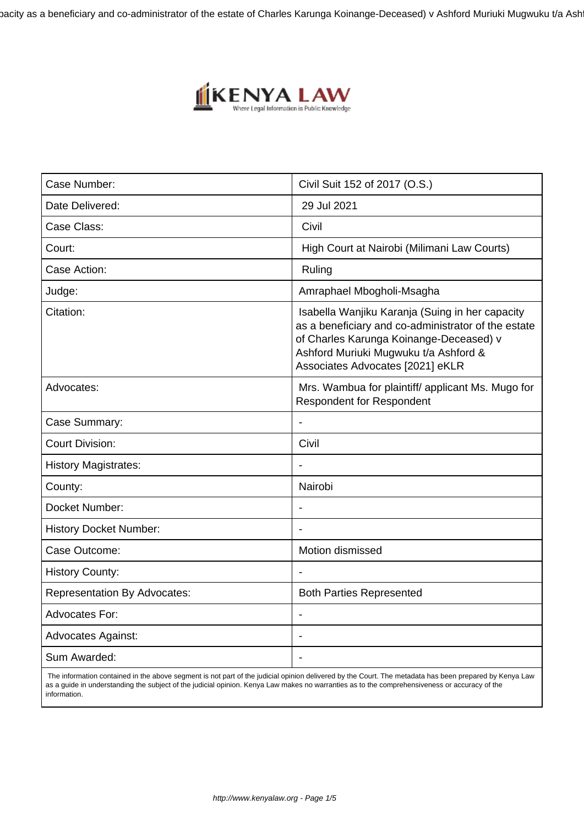bacity as a beneficiary and co-administrator of the estate of Charles Karunga Koinange-Deceased) v Ashford Muriuki Mugwuku t/a Ash



| Case Number:                        | Civil Suit 152 of 2017 (O.S.)                                                                                                                                                                                                  |
|-------------------------------------|--------------------------------------------------------------------------------------------------------------------------------------------------------------------------------------------------------------------------------|
| Date Delivered:                     | 29 Jul 2021                                                                                                                                                                                                                    |
| Case Class:                         | Civil                                                                                                                                                                                                                          |
| Court:                              | High Court at Nairobi (Milimani Law Courts)                                                                                                                                                                                    |
| Case Action:                        | Ruling                                                                                                                                                                                                                         |
| Judge:                              | Amraphael Mbogholi-Msagha                                                                                                                                                                                                      |
| Citation:                           | Isabella Wanjiku Karanja (Suing in her capacity<br>as a beneficiary and co-administrator of the estate<br>of Charles Karunga Koinange-Deceased) v<br>Ashford Muriuki Mugwuku t/a Ashford &<br>Associates Advocates [2021] eKLR |
| Advocates:                          | Mrs. Wambua for plaintiff/ applicant Ms. Mugo for<br><b>Respondent for Respondent</b>                                                                                                                                          |
| Case Summary:                       |                                                                                                                                                                                                                                |
| <b>Court Division:</b>              | Civil                                                                                                                                                                                                                          |
| <b>History Magistrates:</b>         |                                                                                                                                                                                                                                |
| County:                             | Nairobi                                                                                                                                                                                                                        |
| Docket Number:                      | Ĭ.                                                                                                                                                                                                                             |
| <b>History Docket Number:</b>       |                                                                                                                                                                                                                                |
| Case Outcome:                       | Motion dismissed                                                                                                                                                                                                               |
| <b>History County:</b>              |                                                                                                                                                                                                                                |
| <b>Representation By Advocates:</b> | <b>Both Parties Represented</b>                                                                                                                                                                                                |
| <b>Advocates For:</b>               | $\blacksquare$                                                                                                                                                                                                                 |
| <b>Advocates Against:</b>           |                                                                                                                                                                                                                                |
| Sum Awarded:                        |                                                                                                                                                                                                                                |

 The information contained in the above segment is not part of the judicial opinion delivered by the Court. The metadata has been prepared by Kenya Law as a guide in understanding the subject of the judicial opinion. Kenya Law makes no warranties as to the comprehensiveness or accuracy of the information.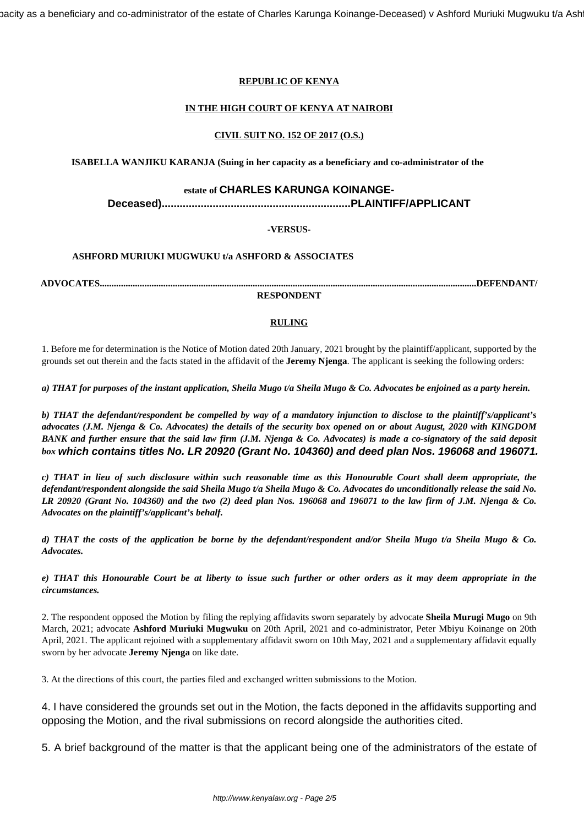bacity as a beneficiary and co-administrator of the estate of Charles Karunga Koinange-Deceased) v Ashford Muriuki Mugwuku t/a Ash

# **REPUBLIC OF KENYA**

# **IN THE HIGH COURT OF KENYA AT NAIROBI**

#### **CIVIL SUIT NO. 152 OF 2017 (O.S.)**

**ISABELLA WANJIKU KARANJA (Suing in her capacity as a beneficiary and co-administrator of the**

## **estate of CHARLES KARUNGA KOINANGE-**

**Deceased)...............................................................PLAINTIFF/APPLICANT**

#### **-VERSUS-**

## **ASHFORD MURIUKI MUGWUKU t/a ASHFORD & ASSOCIATES**

**ADVOCATES................................................................................................................................................................DEFENDANT/**

#### **RESPONDENT**

## **RULING**

1. Before me for determination is the Notice of Motion dated 20th January, 2021 brought by the plaintiff/applicant, supported by the grounds set out therein and the facts stated in the affidavit of the **Jeremy Njenga**. The applicant is seeking the following orders:

*a) THAT for purposes of the instant application, Sheila Mugo t/a Sheila Mugo & Co. Advocates be enjoined as a party herein.*

*b) THAT the defendant/respondent be compelled by way of a mandatory injunction to disclose to the plaintiff's/applicant's advocates (J.M. Njenga & Co. Advocates) the details of the security box opened on or about August, 2020 with KINGDOM BANK and further ensure that the said law firm (J.M. Njenga & Co. Advocates) is made a co-signatory of the said deposit box* **which contains titles No. LR 20920 (Grant No. 104360) and deed plan Nos. 196068 and 196071.**

*c) THAT in lieu of such disclosure within such reasonable time as this Honourable Court shall deem appropriate, the defendant/respondent alongside the said Sheila Mugo t/a Sheila Mugo & Co. Advocates do unconditionally release the said No. LR 20920 (Grant No. 104360) and the two (2) deed plan Nos. 196068 and 196071 to the law firm of J.M. Njenga & Co. Advocates on the plaintiff's/applicant's behalf.*

*d) THAT the costs of the application be borne by the defendant/respondent and/or Sheila Mugo t/a Sheila Mugo & Co. Advocates.*

*e) THAT this Honourable Court be at liberty to issue such further or other orders as it may deem appropriate in the circumstances.*

2. The respondent opposed the Motion by filing the replying affidavits sworn separately by advocate **Sheila Murugi Mugo** on 9th March, 2021; advocate **Ashford Muriuki Mugwuku** on 20th April, 2021 and co-administrator, Peter Mbiyu Koinange on 20th April, 2021. The applicant rejoined with a supplementary affidavit sworn on 10th May, 2021 and a supplementary affidavit equally sworn by her advocate **Jeremy Njenga** on like date.

3. At the directions of this court, the parties filed and exchanged written submissions to the Motion.

4. I have considered the grounds set out in the Motion, the facts deponed in the affidavits supporting and opposing the Motion, and the rival submissions on record alongside the authorities cited.

5. A brief background of the matter is that the applicant being one of the administrators of the estate of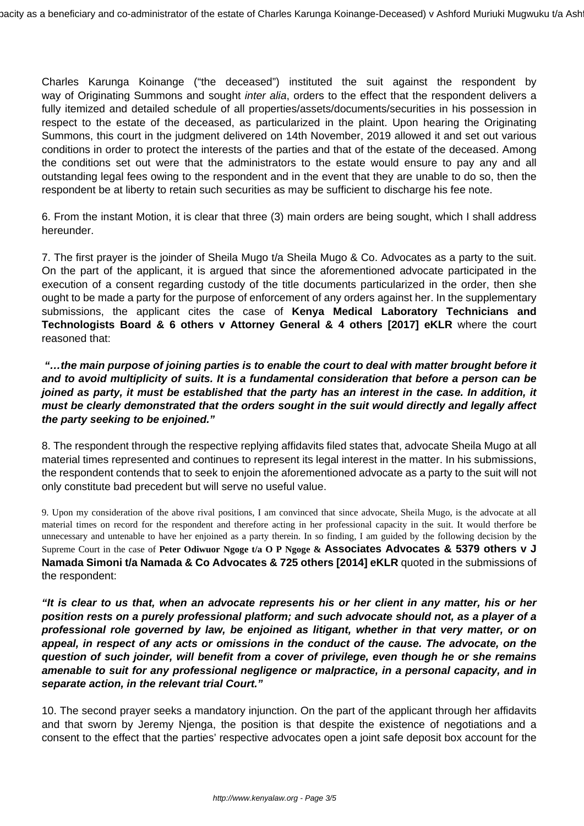Charles Karunga Koinange ("the deceased") instituted the suit against the respondent by way of Originating Summons and sought *inter alia*, orders to the effect that the respondent delivers a fully itemized and detailed schedule of all properties/assets/documents/securities in his possession in respect to the estate of the deceased, as particularized in the plaint. Upon hearing the Originating Summons, this court in the judgment delivered on 14th November, 2019 allowed it and set out various conditions in order to protect the interests of the parties and that of the estate of the deceased. Among the conditions set out were that the administrators to the estate would ensure to pay any and all outstanding legal fees owing to the respondent and in the event that they are unable to do so, then the respondent be at liberty to retain such securities as may be sufficient to discharge his fee note.

6. From the instant Motion, it is clear that three (3) main orders are being sought, which I shall address hereunder.

7. The first prayer is the joinder of Sheila Mugo t/a Sheila Mugo & Co. Advocates as a party to the suit. On the part of the applicant, it is argued that since the aforementioned advocate participated in the execution of a consent regarding custody of the title documents particularized in the order, then she ought to be made a party for the purpose of enforcement of any orders against her. In the supplementary submissions, the applicant cites the case of **Kenya Medical Laboratory Technicians and Technologists Board & 6 others v Attorney General & 4 others [2017] eKLR** where the court reasoned that:

**"…the main purpose of joining parties is to enable the court to deal with matter brought before it and to avoid multiplicity of suits. It is a fundamental consideration that before a person can be joined as party, it must be established that the party has an interest in the case. In addition, it must be clearly demonstrated that the orders sought in the suit would directly and legally affect the party seeking to be enjoined."**

8. The respondent through the respective replying affidavits filed states that, advocate Sheila Mugo at all material times represented and continues to represent its legal interest in the matter. In his submissions, the respondent contends that to seek to enjoin the aforementioned advocate as a party to the suit will not only constitute bad precedent but will serve no useful value.

9. Upon my consideration of the above rival positions, I am convinced that since advocate, Sheila Mugo, is the advocate at all material times on record for the respondent and therefore acting in her professional capacity in the suit. It would therfore be unnecessary and untenable to have her enjoined as a party therein. In so finding, I am guided by the following decision by the Supreme Court in the case of **Peter Odiwuor Ngoge t/a O P Ngoge & Associates Advocates & 5379 others v J Namada Simoni t/a Namada & Co Advocates & 725 others [2014] eKLR** quoted in the submissions of the respondent:

**"It is clear to us that, when an advocate represents his or her client in any matter, his or her position rests on a purely professional platform; and such advocate should not, as a player of a professional role governed by law, be enjoined as litigant, whether in that very matter, or on appeal, in respect of any acts or omissions in the conduct of the cause. The advocate, on the question of such joinder, will benefit from a cover of privilege, even though he or she remains amenable to suit for any professional negligence or malpractice, in a personal capacity, and in separate action, in the relevant trial Court."**

10. The second prayer seeks a mandatory injunction. On the part of the applicant through her affidavits and that sworn by Jeremy Njenga, the position is that despite the existence of negotiations and a consent to the effect that the parties' respective advocates open a joint safe deposit box account for the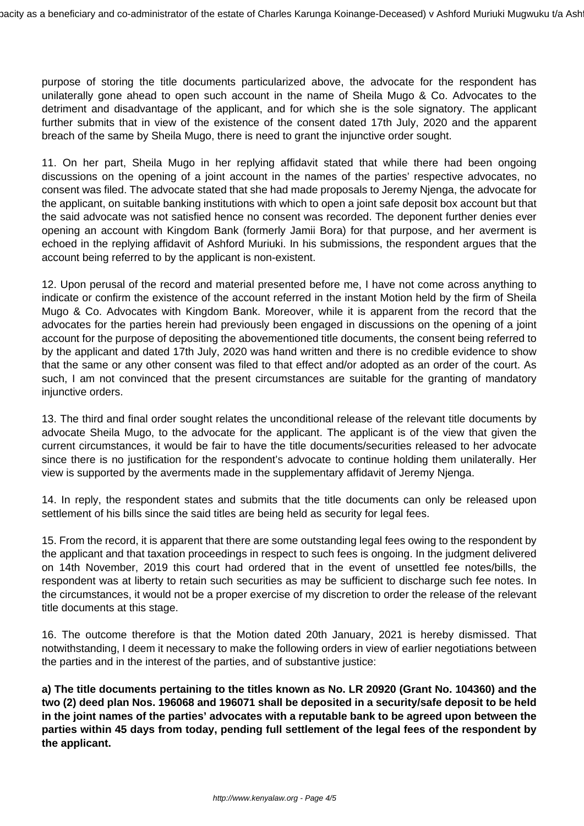purpose of storing the title documents particularized above, the advocate for the respondent has unilaterally gone ahead to open such account in the name of Sheila Mugo & Co. Advocates to the detriment and disadvantage of the applicant, and for which she is the sole signatory. The applicant further submits that in view of the existence of the consent dated 17th July, 2020 and the apparent breach of the same by Sheila Mugo, there is need to grant the injunctive order sought.

11. On her part, Sheila Mugo in her replying affidavit stated that while there had been ongoing discussions on the opening of a joint account in the names of the parties' respective advocates, no consent was filed. The advocate stated that she had made proposals to Jeremy Njenga, the advocate for the applicant, on suitable banking institutions with which to open a joint safe deposit box account but that the said advocate was not satisfied hence no consent was recorded. The deponent further denies ever opening an account with Kingdom Bank (formerly Jamii Bora) for that purpose, and her averment is echoed in the replying affidavit of Ashford Muriuki. In his submissions, the respondent argues that the account being referred to by the applicant is non-existent.

12. Upon perusal of the record and material presented before me, I have not come across anything to indicate or confirm the existence of the account referred in the instant Motion held by the firm of Sheila Mugo & Co. Advocates with Kingdom Bank. Moreover, while it is apparent from the record that the advocates for the parties herein had previously been engaged in discussions on the opening of a joint account for the purpose of depositing the abovementioned title documents, the consent being referred to by the applicant and dated 17th July, 2020 was hand written and there is no credible evidence to show that the same or any other consent was filed to that effect and/or adopted as an order of the court. As such, I am not convinced that the present circumstances are suitable for the granting of mandatory injunctive orders.

13. The third and final order sought relates the unconditional release of the relevant title documents by advocate Sheila Mugo, to the advocate for the applicant. The applicant is of the view that given the current circumstances, it would be fair to have the title documents/securities released to her advocate since there is no justification for the respondent's advocate to continue holding them unilaterally. Her view is supported by the averments made in the supplementary affidavit of Jeremy Njenga.

14. In reply, the respondent states and submits that the title documents can only be released upon settlement of his bills since the said titles are being held as security for legal fees.

15. From the record, it is apparent that there are some outstanding legal fees owing to the respondent by the applicant and that taxation proceedings in respect to such fees is ongoing. In the judgment delivered on 14th November, 2019 this court had ordered that in the event of unsettled fee notes/bills, the respondent was at liberty to retain such securities as may be sufficient to discharge such fee notes. In the circumstances, it would not be a proper exercise of my discretion to order the release of the relevant title documents at this stage.

16. The outcome therefore is that the Motion dated 20th January, 2021 is hereby dismissed. That notwithstanding, I deem it necessary to make the following orders in view of earlier negotiations between the parties and in the interest of the parties, and of substantive justice:

**a) The title documents pertaining to the titles known as No. LR 20920 (Grant No. 104360) and the two (2) deed plan Nos. 196068 and 196071 shall be deposited in a security/safe deposit to be held in the joint names of the parties' advocates with a reputable bank to be agreed upon between the parties within 45 days from today, pending full settlement of the legal fees of the respondent by the applicant.**